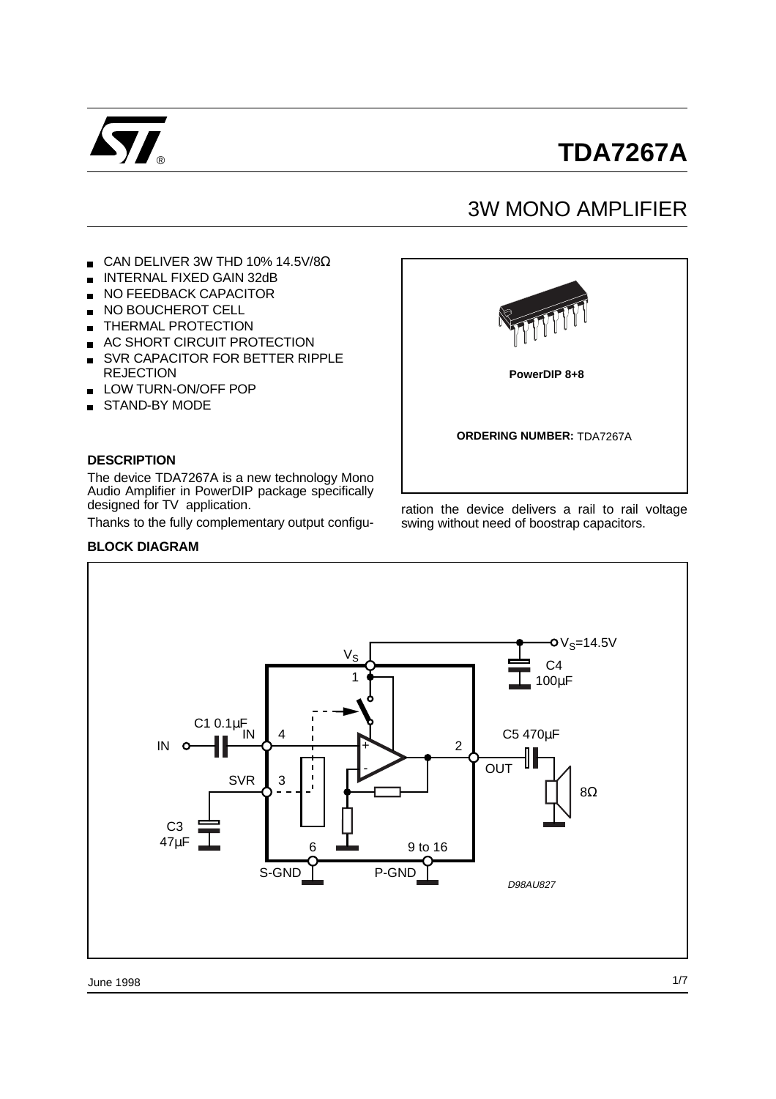

# **TDA7267A**

# 3W MONO AMPLIFIER

- CAN DELIVER 3W THD 10% 14.5V/8 $\Omega$
- INTERNAL FIXED GAIN 32dB
- NO FEEDBACK CAPACITOR
- NO BOUCHEROT CELL  $\blacksquare$
- THERMAL PROTECTION  $\blacksquare$
- AC SHORT CIRCUIT PROTECTION  $\blacksquare$
- SVR CAPACITOR FOR BETTER RIPPLE  $\blacksquare$ **REJECTION**
- LOW TURN-ON/OFF POP  $\blacksquare$
- STAND-BY MODE

#### **DESCRIPTION**

The device TDA7267A is a new technology Mono Audio Amplifier in PowerDIP package specifically designed for TV application.

Thanks to the fully complementary output configu-

#### **BLOCK DIAGRAM**



ration the device delivers a rail to rail voltage swing without need of boostrap capacitors.

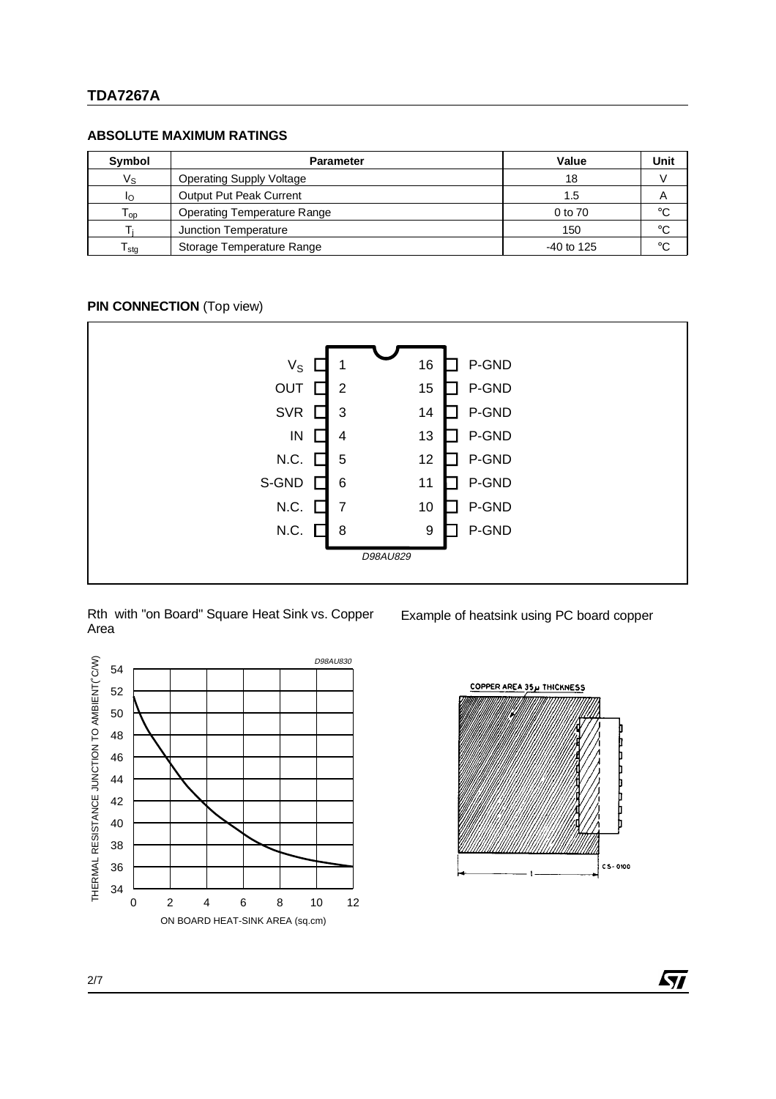### **TDA7267A**

#### **ABSOLUTE MAXIMUM RATINGS**

| Symbol          | <b>Parameter</b>                   | Value        | Unit |
|-----------------|------------------------------------|--------------|------|
| Vs              | <b>Operating Supply Voltage</b>    | 18           |      |
|                 | Output Put Peak Current            | 1.5          |      |
| l <sub>op</sub> | <b>Operating Temperature Range</b> | 0 to 70      | °C   |
|                 | Junction Temperature               | 150          | °C   |
| stg             | Storage Temperature Range          | $-40$ to 125 | ഻    |

#### **PIN CONNECTION** (Top view)



#### Rth with "on Board" Square Heat Sink vs. Copper Area

Example of heatsink using PC board copper





ky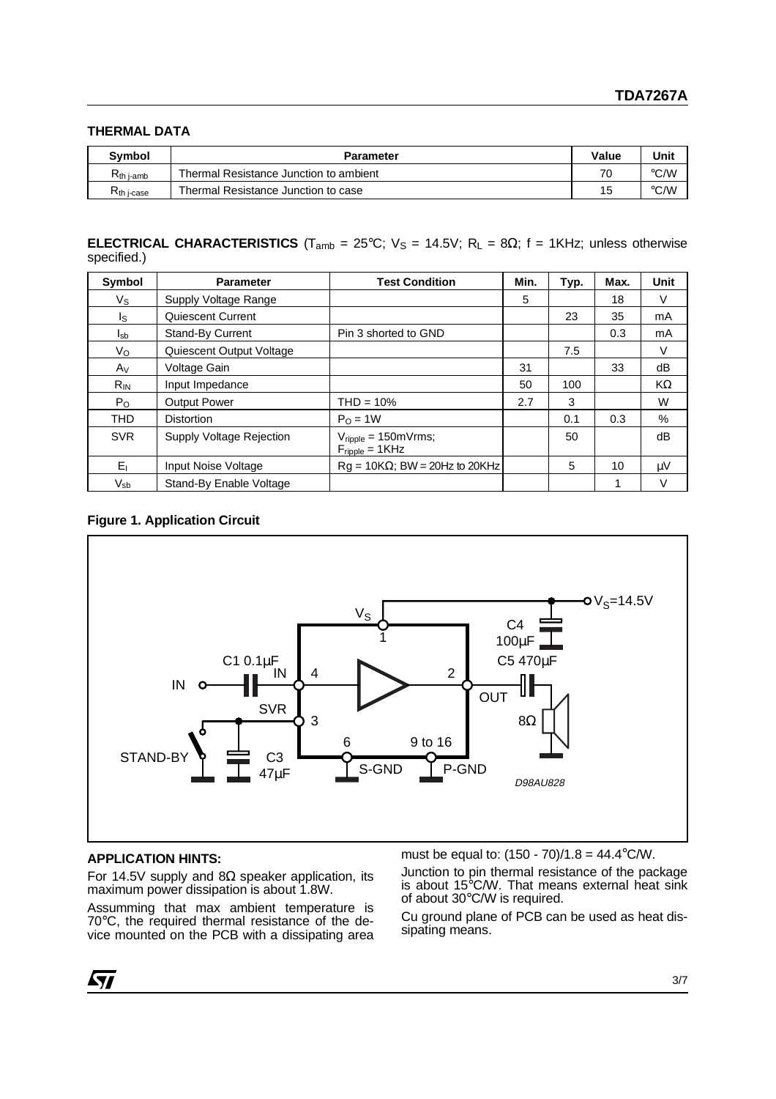#### **THERMAL DATA**

| <b>Symbol</b>                    | <b>Parameter</b>                       | Value | Unit |
|----------------------------------|----------------------------------------|-------|------|
| $\mathsf{R}_{\mathsf{th}}$ i-amb | Thermal Resistance Junction to ambient | 70    | ℃⁄W  |
| $R_{th}$ j-case                  | Thermal Resistance Junction to case    | 15    | °C/W |

#### **ELECTRICAL CHARACTERISTICS** (T<sub>amb</sub> = 25°C;  $V_s$  = 14.5V; R<sub>L</sub> = 8 $\Omega$ ; f = 1KHz; unless otherwise specified.)

| <b>Symbol</b>              | <b>Parameter</b>         | <b>Test Condition</b>                                                          | Min. | Typ. | Max. | <b>Unit</b> |
|----------------------------|--------------------------|--------------------------------------------------------------------------------|------|------|------|-------------|
| Vs                         | Supply Voltage Range     |                                                                                | 5    |      | 18   | V           |
| Is.                        | Quiescent Current        |                                                                                |      | 23   | 35   | mA          |
| I <sub>sb</sub>            | <b>Stand-By Current</b>  | Pin 3 shorted to GND                                                           |      |      | 0.3  | mA          |
| $V_{\rm O}$                | Quiescent Output Voltage |                                                                                |      | 7.5  |      | V           |
| $A_V$                      | Voltage Gain             |                                                                                | 31   |      | 33   | dB          |
| $R_{IN}$                   | Input Impedance          |                                                                                | 50   | 100  |      | KΩ          |
| $P_{O}$                    | <b>Output Power</b>      | $THD = 10%$                                                                    | 2.7  | 3    |      | W           |
| <b>THD</b>                 | <b>Distortion</b>        | $PO = 1W$                                                                      |      | 0.1  | 0.3  | $\%$        |
| <b>SVR</b>                 | Supply Voltage Rejection | $V_{\text{ripple}} = 150 \text{mV} \text{rms};$<br>$F_{\text{ripple}} = 1$ KHz |      | 50   |      | dB          |
| $E_1$                      | Input Noise Voltage      | $Rq = 10K\Omega$ ; BW = 20Hz to 20KHz                                          |      | 5    | 10   | μV          |
| $\mathsf{V}_{\mathsf{sb}}$ | Stand-By Enable Voltage  |                                                                                |      |      |      | v           |

#### **Figure 1. Application Circuit**



#### **APPLICATION HINTS:**

For 14.5V supply and 8Ω speaker application, its maximum power dissipation is about 1.8W.

Assumming that max ambient temperature is 70°C, the required thermal resistance of the device mounted on the PCB with a dissipating area must be equal to: (150 - 70)/1.8 = 44.4°C/W.

Junction to pin thermal resistance of the package is about 15°C/W. That means external heat sink of about 30°C/W is required.

Cu ground plane of PCB can be used as heat dissipating means.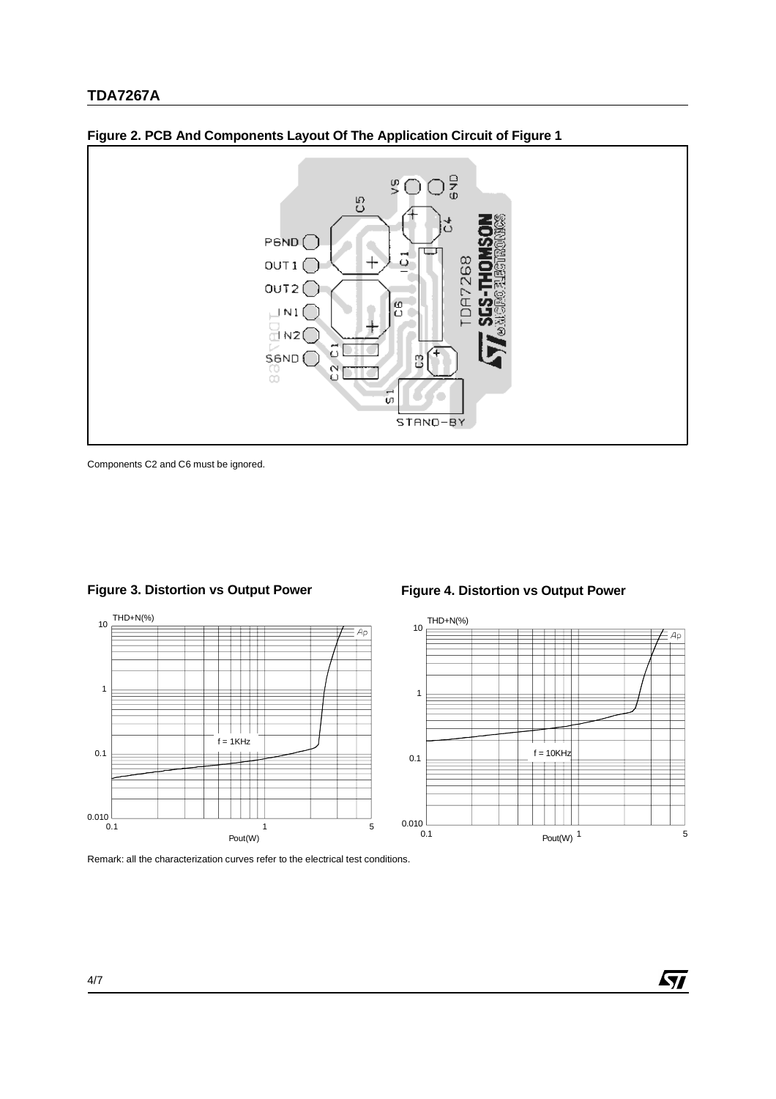

**Figure 2. PCB And Components Layout Of The Application Circuit of Figure 1**

Components C2 and C6 must be ignored.



# **Figure 3. Distortion vs Output Power**

Remark: all the characterization curves refer to the electrical test conditions.

#### **Figure 4. Distortion vs Output Power**



**ST** 

4/7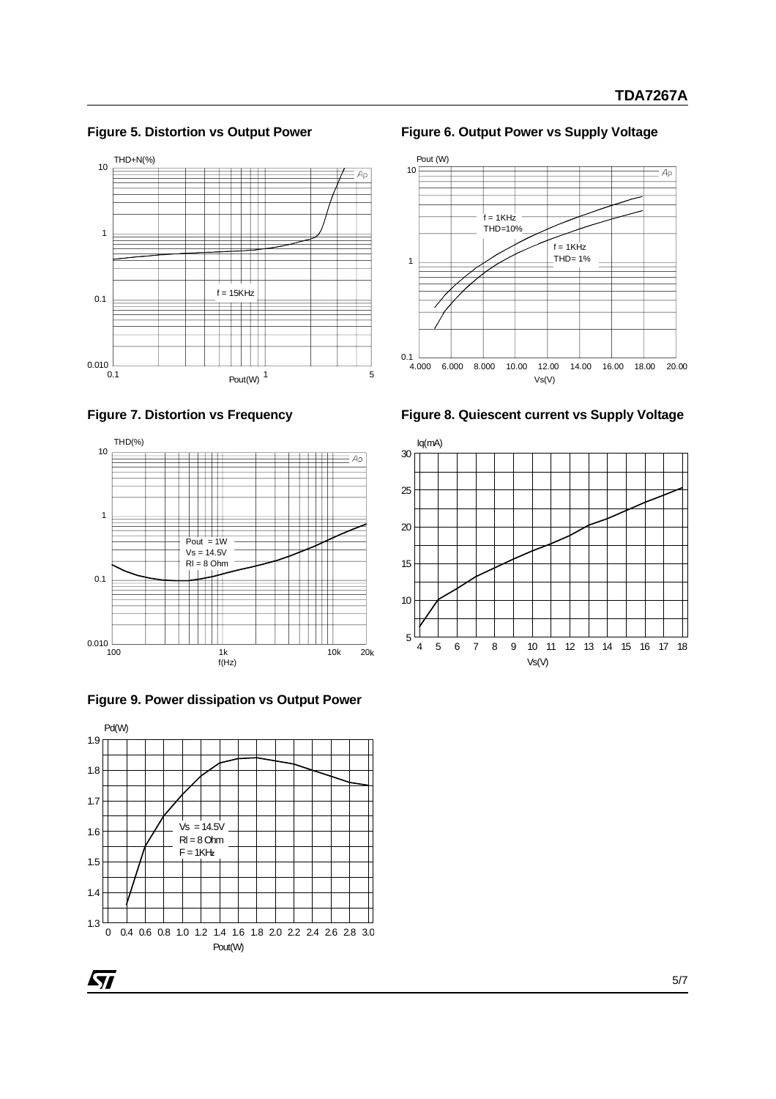**Figure 5. Distortion vs Output Power**

















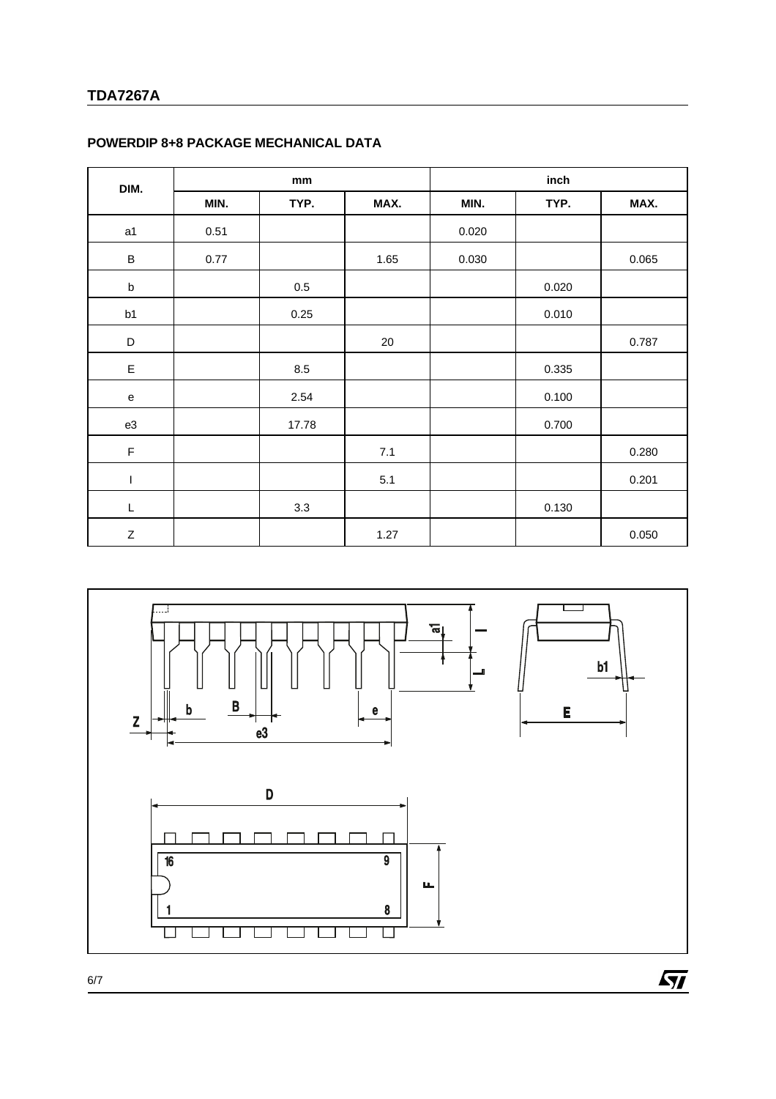# **TDA7267A**

| DIM.        | mm   |         |        | inch  |       |       |
|-------------|------|---------|--------|-------|-------|-------|
|             | MIN. | TYP.    | MAX.   | MIN.  | TYP.  | MAX.  |
| a1          | 0.51 |         |        | 0.020 |       |       |
| $\sf B$     | 0.77 |         | 1.65   | 0.030 |       | 0.065 |
| $\sf b$     |      | $0.5\,$ |        |       | 0.020 |       |
| b1          |      | 0.25    |        |       | 0.010 |       |
| $\mathsf D$ |      |         | $20\,$ |       |       | 0.787 |
| E           |      | 8.5     |        |       | 0.335 |       |
| ${\bf e}$   |      | 2.54    |        |       | 0.100 |       |
| e3          |      | 17.78   |        |       | 0.700 |       |
| $\mathsf F$ |      |         | 7.1    |       |       | 0.280 |
| I           |      |         | 5.1    |       |       | 0.201 |
| L           |      | 3.3     |        |       | 0.130 |       |
| Z           |      |         | 1.27   |       |       | 0.050 |

# **POWERDIP 8+8 PACKAGE MECHANICAL DATA**



6/7